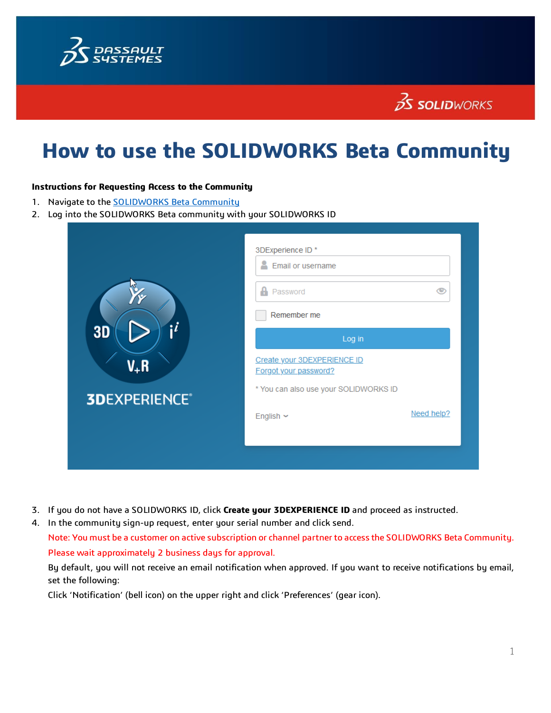

## $35$  SOLIDWORKS

# **How to use the SOLIDWORKS Beta Community**

#### **Instructions for Requesting Access to the Community**

- 1. Navigate to the **SOLIDWORKS Beta Community**
- 2. Log into the SOLIDWORKS Beta community with your SOLIDWORKS ID

| $\mathbf{ii}$<br><b>3D</b><br>V <sub>+</sub> R<br><b>3DEXPERIENCE®</b> | 3DExperience ID*<br>Email or username<br>$\theta$ Password<br>ு<br>Remember me                                            |            |  |
|------------------------------------------------------------------------|---------------------------------------------------------------------------------------------------------------------------|------------|--|
|                                                                        | Log in<br>Create your 3DEXPERIENCE ID<br>Forgot your password?<br>* You can also use your SOLIDWORKS ID<br>English $\sim$ | Need help? |  |

- 3. If you do not have a SOLIDWORKS ID, click **Create your 3DEXPERIENCE ID** and proceed as instructed.
- 4. In the community sign-up request, enter your serial number and click send. Note: You must be a customer on active subscription or channel partner to access the SOLIDWORKS Beta Community. Please wait approximately 2 business days for approval.

By default, you will not receive an email notification when approved. If you want to receive notifications by email, set the following:

Click 'Notification' (bell icon) on the upper right and click 'Preferences' (gear icon).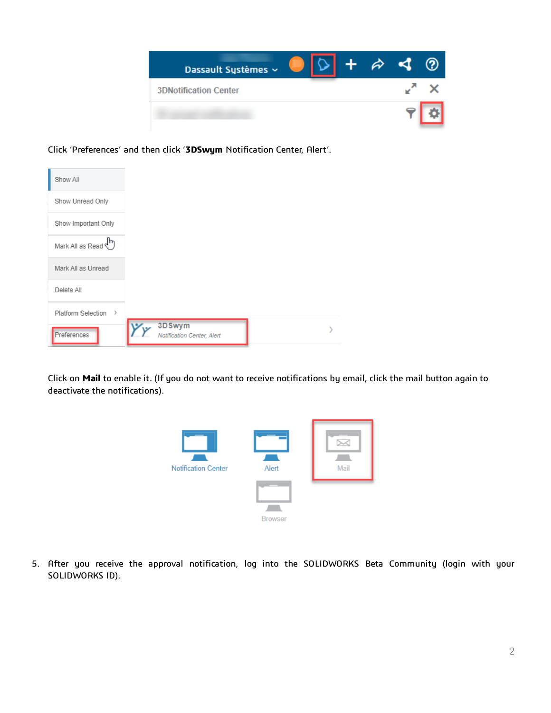

Click 'Preferences' and then click '**3DSwym** Notification Center, Alert'.

| Show All                     |                                      |
|------------------------------|--------------------------------------|
| Show Unread Only             |                                      |
| Show Important Only          |                                      |
| Mark All as Read $\bigoplus$ |                                      |
| Mark All as Unread           |                                      |
| Delete All                   |                                      |
| Platform Selection >         |                                      |
| Preferences                  | 3DSwym<br>Notification Center, Alert |

Click on **Mail** to enable it. (If you do not want to receive notifications by email, click the mail button again to deactivate the notifications).



5. After you receive the approval notification, log into the SOLIDWORKS Beta Community (login with your SOLIDWORKS ID).